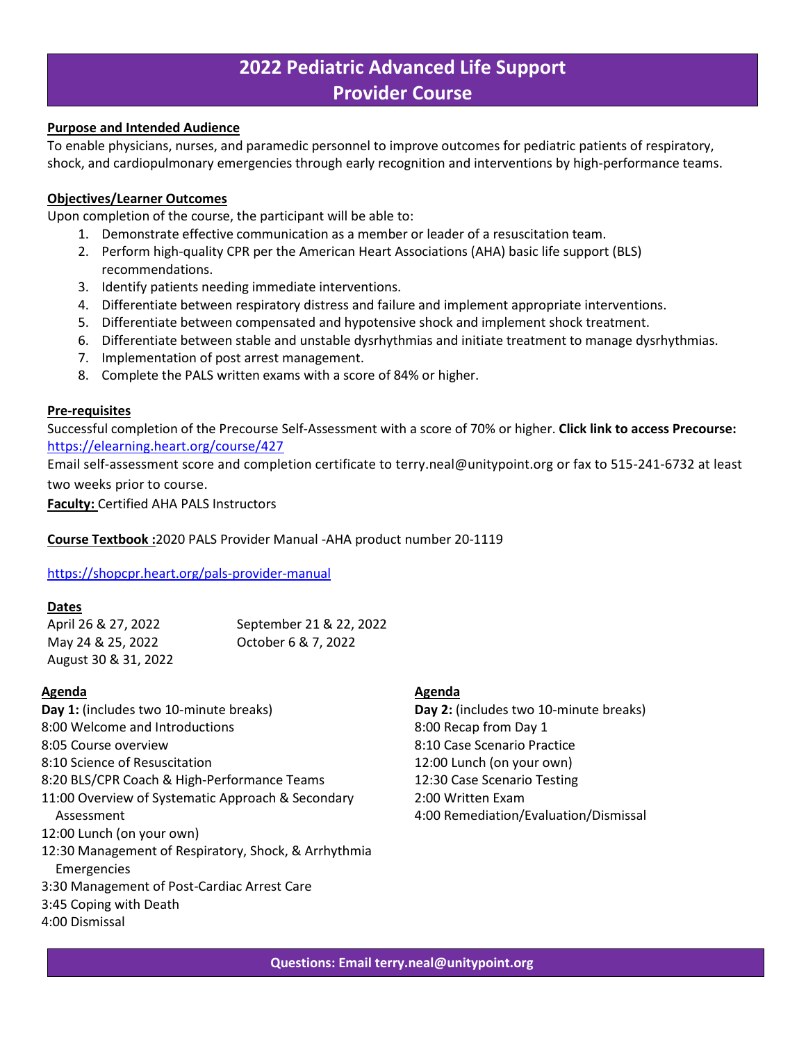# **2022 Pediatric Advanced Life Support Provider Course**

#### **Purpose and Intended Audience**

To enable physicians, nurses, and paramedic personnel to improve outcomes for pediatric patients of respiratory, shock, and cardiopulmonary emergencies through early recognition and interventions by high-performance teams.

#### **Objectives/Learner Outcomes**

Upon completion of the course, the participant will be able to:

- 1. Demonstrate effective communication as a member or leader of a resuscitation team.
- 2. Perform high-quality CPR per the American Heart Associations (AHA) basic life support (BLS) recommendations.
- 3. Identify patients needing immediate interventions.
- 4. Differentiate between respiratory distress and failure and implement appropriate interventions.
- 5. Differentiate between compensated and hypotensive shock and implement shock treatment.
- 6. Differentiate between stable and unstable dysrhythmias and initiate treatment to manage dysrhythmias.
- 7. Implementation of post arrest management.
- 8. Complete the PALS written exams with a score of 84% or higher.

#### **Pre-requisites**

Successful completion of the Precourse Self-Assessment with a score of 70% or higher. **Click link to access Precourse:** <https://elearning.heart.org/course/427>

Email self-assessment score and completion certificate to terry.neal@unitypoint.org or fax to 515-241-6732 at least two weeks prior to course.

**Faculty:** Certified AHA PALS Instructors

**Course Textbook :**2020 PALS Provider Manual -AHA product number 20-1119

<https://shopcpr.heart.org/pals-provider-manual>

## **Dates**

| April 26 & 27, 2022  | September 21 & 22, 2022 |
|----------------------|-------------------------|
| May 24 & 25, 2022    | October 6 & 7, 2022     |
| August 30 & 31, 2022 |                         |

#### **Agenda**

**Day 1:** (includes two 10-minute breaks) 8:00 Welcome and Introductions 8:05 Course overview 8:10 Science of Resuscitation 8:20 BLS/CPR Coach & High-Performance Teams 11:00 Overview of Systematic Approach & Secondary Assessment 12:00 Lunch (on your own) 12:30 Management of Respiratory, Shock, & Arrhythmia Emergencies 3:30 Management of Post-Cardiac Arrest Care

# 3:45 Coping with Death

4:00 Dismissal

#### **Agenda**

**Day 2:** (includes two 10-minute breaks) 8:00 Recap from Day 1 8:10 Case Scenario Practice 12:00 Lunch (on your own) 12:30 Case Scenario Testing 2:00 Written Exam 4:00 Remediation/Evaluation/Dismissal